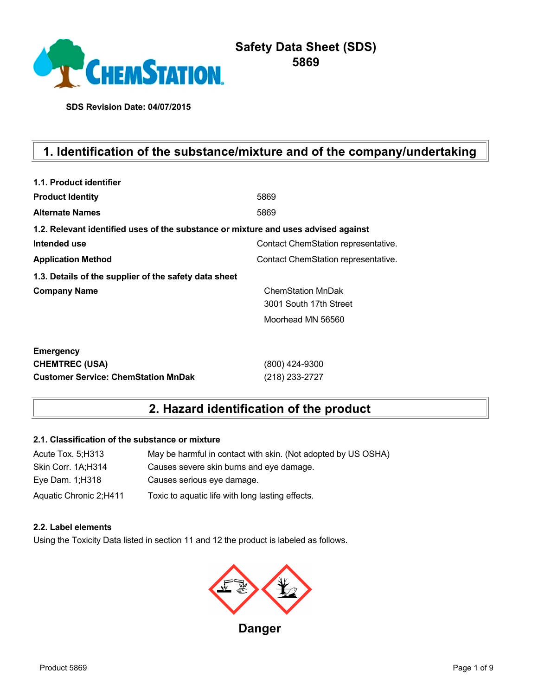

# **Safety Data Sheet (SDS) 5869**

**SDS Revision Date: 04/07/2015**

# **1. Identification of the substance/mixture and of the company/undertaking**

| 1.1. Product identifier                                                            |                                     |
|------------------------------------------------------------------------------------|-------------------------------------|
| <b>Product Identity</b>                                                            | 5869                                |
| <b>Alternate Names</b>                                                             | 5869                                |
| 1.2. Relevant identified uses of the substance or mixture and uses advised against |                                     |
| Intended use                                                                       | Contact ChemStation representative. |
| <b>Application Method</b>                                                          | Contact ChemStation representative. |
| 1.3. Details of the supplier of the safety data sheet                              |                                     |
| <b>Company Name</b>                                                                | ChemStation MnDak                   |
|                                                                                    | 3001 South 17th Street              |
|                                                                                    | Moorhead MN 56560                   |
|                                                                                    |                                     |
| <b>Emergency</b>                                                                   |                                     |
| <b>CHEMTREC (USA)</b>                                                              | (800) 424-9300                      |
| <b>Customer Service: ChemStation MnDak</b>                                         | (218) 233-2727                      |

# **2. Hazard identification of the product**

#### **2.1. Classification of the substance or mixture**

| Acute Tox. 5; H313     | May be harmful in contact with skin. (Not adopted by US OSHA) |
|------------------------|---------------------------------------------------------------|
| Skin Corr. 1A;H314     | Causes severe skin burns and eye damage.                      |
| Eye Dam. 1; H318       | Causes serious eye damage.                                    |
| Aquatic Chronic 2;H411 | Toxic to aquatic life with long lasting effects.              |

## **2.2. Label elements**

Using the Toxicity Data listed in section 11 and 12 the product is labeled as follows.

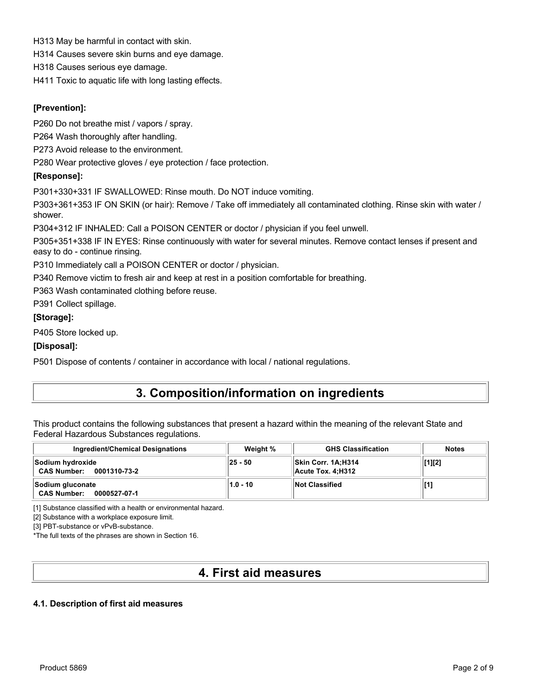H313 May be harmful in contact with skin.

H314 Causes severe skin burns and eye damage.

H318 Causes serious eye damage.

H411 Toxic to aquatic life with long lasting effects.

## **[Prevention]:**

P260 Do not breathe mist / vapors / spray.

P264 Wash thoroughly after handling.

P273 Avoid release to the environment.

P280 Wear protective gloves / eye protection / face protection.

## **[Response]:**

P301+330+331 IF SWALLOWED: Rinse mouth. Do NOT induce vomiting.

P303+361+353 IF ON SKIN (or hair): Remove / Take off immediately all contaminated clothing. Rinse skin with water / shower.

P304+312 IF INHALED: Call a POISON CENTER or doctor / physician if you feel unwell.

P305+351+338 IF IN EYES: Rinse continuously with water for several minutes. Remove contact lenses if present and easy to do - continue rinsing.

P310 Immediately call a POISON CENTER or doctor / physician.

P340 Remove victim to fresh air and keep at rest in a position comfortable for breathing.

P363 Wash contaminated clothing before reuse.

P391 Collect spillage.

#### **[Storage]:**

P405 Store locked up.

### **[Disposal]:**

P501 Dispose of contents / container in accordance with local / national regulations.

# **3. Composition/information on ingredients**

This product contains the following substances that present a hazard within the meaning of the relevant State and Federal Hazardous Substances regulations.

| <b>Ingredient/Chemical Designations</b>                | Weight % | <b>GHS Classification</b>                 | <b>Notes</b> |
|--------------------------------------------------------|----------|-------------------------------------------|--------------|
| Sodium hydroxide<br><b>CAS Number:</b><br>0001310-73-2 | 25 - 50  | ∣∣Skin Corr. 1A:H314<br>Acute Tox. 4:H312 | $[1][2]$     |
| Sodium gluconate<br><b>CAS Number:</b><br>0000527-07-1 | 1.0 - 10 | <b>Not Classified</b>                     |              |

[1] Substance classified with a health or environmental hazard.

[2] Substance with a workplace exposure limit.

[3] PBT-substance or vPvB-substance.

\*The full texts of the phrases are shown in Section 16.

# **4. First aid measures**

#### **4.1. Description of first aid measures**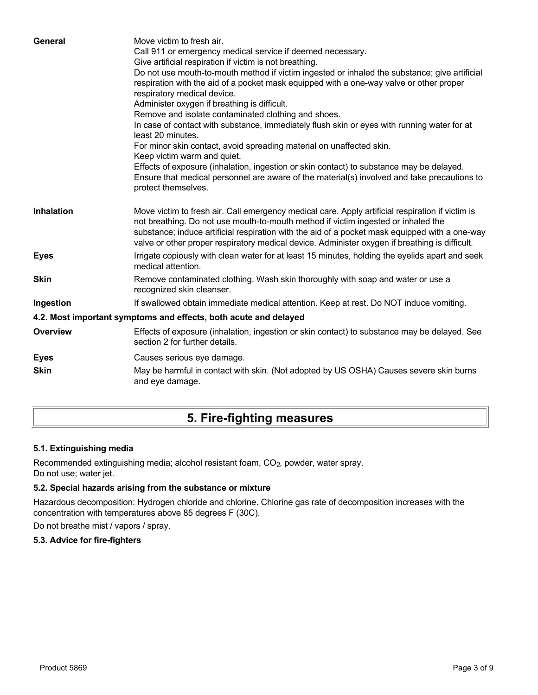| General           | Move victim to fresh air.<br>Call 911 or emergency medical service if deemed necessary.<br>Give artificial respiration if victim is not breathing.<br>Do not use mouth-to-mouth method if victim ingested or inhaled the substance; give artificial<br>respiration with the aid of a pocket mask equipped with a one-way valve or other proper<br>respiratory medical device.<br>Administer oxygen if breathing is difficult.<br>Remove and isolate contaminated clothing and shoes.<br>In case of contact with substance, immediately flush skin or eyes with running water for at<br>least 20 minutes.<br>For minor skin contact, avoid spreading material on unaffected skin.<br>Keep victim warm and quiet.<br>Effects of exposure (inhalation, ingestion or skin contact) to substance may be delayed.<br>Ensure that medical personnel are aware of the material(s) involved and take precautions to<br>protect themselves. |
|-------------------|-----------------------------------------------------------------------------------------------------------------------------------------------------------------------------------------------------------------------------------------------------------------------------------------------------------------------------------------------------------------------------------------------------------------------------------------------------------------------------------------------------------------------------------------------------------------------------------------------------------------------------------------------------------------------------------------------------------------------------------------------------------------------------------------------------------------------------------------------------------------------------------------------------------------------------------|
| <b>Inhalation</b> | Move victim to fresh air. Call emergency medical care. Apply artificial respiration if victim is<br>not breathing. Do not use mouth-to-mouth method if victim ingested or inhaled the<br>substance; induce artificial respiration with the aid of a pocket mask equipped with a one-way<br>valve or other proper respiratory medical device. Administer oxygen if breathing is difficult.                                                                                                                                                                                                                                                                                                                                                                                                                                                                                                                                         |
| <b>Eyes</b>       | Irrigate copiously with clean water for at least 15 minutes, holding the eyelids apart and seek<br>medical attention.                                                                                                                                                                                                                                                                                                                                                                                                                                                                                                                                                                                                                                                                                                                                                                                                             |
| <b>Skin</b>       | Remove contaminated clothing. Wash skin thoroughly with soap and water or use a<br>recognized skin cleanser.                                                                                                                                                                                                                                                                                                                                                                                                                                                                                                                                                                                                                                                                                                                                                                                                                      |
| Ingestion         | If swallowed obtain immediate medical attention. Keep at rest. Do NOT induce vomiting.                                                                                                                                                                                                                                                                                                                                                                                                                                                                                                                                                                                                                                                                                                                                                                                                                                            |
|                   | 4.2. Most important symptoms and effects, both acute and delayed                                                                                                                                                                                                                                                                                                                                                                                                                                                                                                                                                                                                                                                                                                                                                                                                                                                                  |
| <b>Overview</b>   | Effects of exposure (inhalation, ingestion or skin contact) to substance may be delayed. See<br>section 2 for further details.                                                                                                                                                                                                                                                                                                                                                                                                                                                                                                                                                                                                                                                                                                                                                                                                    |
| <b>Eyes</b>       | Causes serious eye damage.                                                                                                                                                                                                                                                                                                                                                                                                                                                                                                                                                                                                                                                                                                                                                                                                                                                                                                        |
| <b>Skin</b>       | May be harmful in contact with skin. (Not adopted by US OSHA) Causes severe skin burns<br>and eye damage.                                                                                                                                                                                                                                                                                                                                                                                                                                                                                                                                                                                                                                                                                                                                                                                                                         |

# **5. Fire-fighting measures**

## **5.1. Extinguishing media**

Recommended extinguishing media; alcohol resistant foam, CO<sub>2</sub>, powder, water spray. Do not use; water jet.

## **5.2. Special hazards arising from the substance or mixture**

Hazardous decomposition: Hydrogen chloride and chlorine. Chlorine gas rate of decomposition increases with the concentration with temperatures above 85 degrees F (30C).

Do not breathe mist / vapors / spray.

## **5.3. Advice for fire-fighters**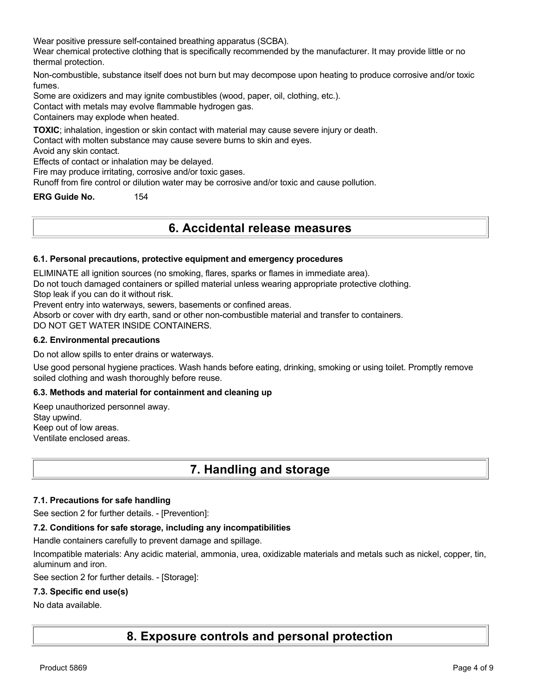Wear positive pressure self-contained breathing apparatus (SCBA).

Wear chemical protective clothing that is specifically recommended by the manufacturer. It may provide little or no thermal protection.

Non-combustible, substance itself does not burn but may decompose upon heating to produce corrosive and/or toxic fumes.

Some are oxidizers and may ignite combustibles (wood, paper, oil, clothing, etc.).

Contact with metals may evolve flammable hydrogen gas.

Containers may explode when heated.

**TOXIC**; inhalation, ingestion or skin contact with material may cause severe injury or death.

Contact with molten substance may cause severe burns to skin and eyes.

Avoid any skin contact.

Effects of contact or inhalation may be delayed.

Fire may produce irritating, corrosive and/or toxic gases.

Runoff from fire control or dilution water may be corrosive and/or toxic and cause pollution.

**ERG Guide No.** 154

# **6. Accidental release measures**

#### **6.1. Personal precautions, protective equipment and emergency procedures**

ELIMINATE all ignition sources (no smoking, flares, sparks or flames in immediate area).

Do not touch damaged containers or spilled material unless wearing appropriate protective clothing.

Stop leak if you can do it without risk.

Prevent entry into waterways, sewers, basements or confined areas.

Absorb or cover with dry earth, sand or other non-combustible material and transfer to containers.

DO NOT GET WATER INSIDE CONTAINERS.

#### **6.2. Environmental precautions**

Do not allow spills to enter drains or waterways.

Use good personal hygiene practices. Wash hands before eating, drinking, smoking or using toilet. Promptly remove soiled clothing and wash thoroughly before reuse.

#### **6.3. Methods and material for containment and cleaning up**

Keep unauthorized personnel away. Stay upwind. Keep out of low areas. Ventilate enclosed areas.

# **7. Handling and storage**

#### **7.1. Precautions for safe handling**

See section 2 for further details. - [Prevention]:

#### **7.2. Conditions for safe storage, including any incompatibilities**

Handle containers carefully to prevent damage and spillage.

Incompatible materials: Any acidic material, ammonia, urea, oxidizable materials and metals such as nickel, copper, tin, aluminum and iron.

See section 2 for further details. - [Storage]:

#### **7.3. Specific end use(s)**

#### No data available.

**8. Exposure controls and personal protection**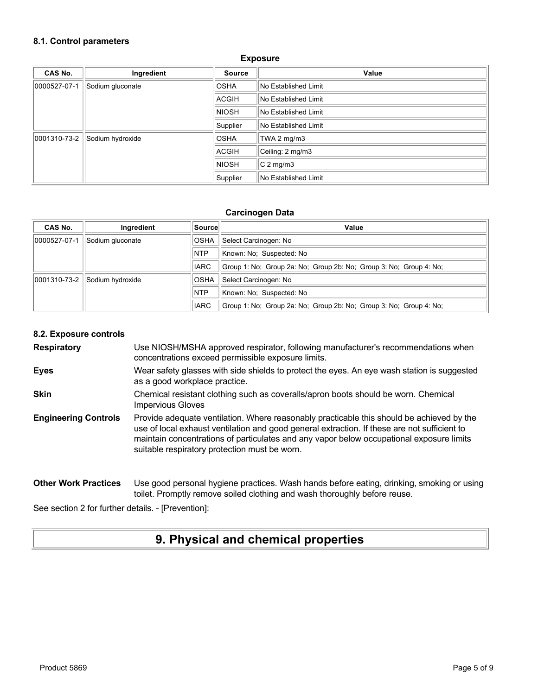#### **8.1. Control parameters**

| CAS No.      | Ingredient       | <b>Source</b> | Value                       |
|--------------|------------------|---------------|-----------------------------|
| 0000527-07-1 | Sodium gluconate | <b>OSHA</b>   | No Established Limit        |
|              |                  | ACGIH         | <b>No Established Limit</b> |
|              |                  | <b>NIOSH</b>  | <b>No Established Limit</b> |
|              |                  | Supplier      | No Established Limit        |
| 0001310-73-2 | Sodium hydroxide | <b>OSHA</b>   | TWA 2 mg/m3                 |
|              |                  | ACGIH         | Ceiling: 2 mg/m3            |
|              |                  | <b>NIOSH</b>  | $C2$ mg/m3                  |
|              |                  | Supplier      | No Established Limit        |

#### **Exposure**

#### **Carcinogen Data**

| CAS No.      | Ingredient       | ∣Source∣    | Value                                                              |
|--------------|------------------|-------------|--------------------------------------------------------------------|
| 0000527-07-1 | Sodium gluconate | <b>OSHA</b> | Select Carcinogen: No                                              |
|              |                  | <b>NTP</b>  | Known: No: Suspected: No                                           |
|              |                  | <b>IARC</b> | Group 1: No: Group 2a: No: Group 2b: No: Group 3: No: Group 4: No: |
| 0001310-73-2 | Sodium hydroxide | <b>OSHA</b> | Select Carcinogen: No                                              |
|              |                  | <b>NTP</b>  | Known: No: Suspected: No                                           |
|              |                  | <b>IARC</b> | Group 1: No; Group 2a: No; Group 2b: No; Group 3: No; Group 4: No; |

#### **8.2. Exposure controls**

**Respiratory** Use NIOSH/MSHA approved respirator, following manufacturer's recommendations when concentrations exceed permissible exposure limits.

- **Eyes** Wear safety glasses with side shields to protect the eyes. An eye wash station is suggested as a good workplace practice.
- **Skin** Chemical resistant clothing such as coveralls/apron boots should be worn. Chemical Impervious Gloves
- **Engineering Controls** Provide adequate ventilation. Where reasonably practicable this should be achieved by the use of local exhaust ventilation and good general extraction. If these are not sufficient to maintain concentrations of particulates and any vapor below occupational exposure limits suitable respiratory protection must be worn.

#### **Other Work Practices** Use good personal hygiene practices. Wash hands before eating, drinking, smoking or using toilet. Promptly remove soiled clothing and wash thoroughly before reuse.

See section 2 for further details. - [Prevention]:

# **9. Physical and chemical properties**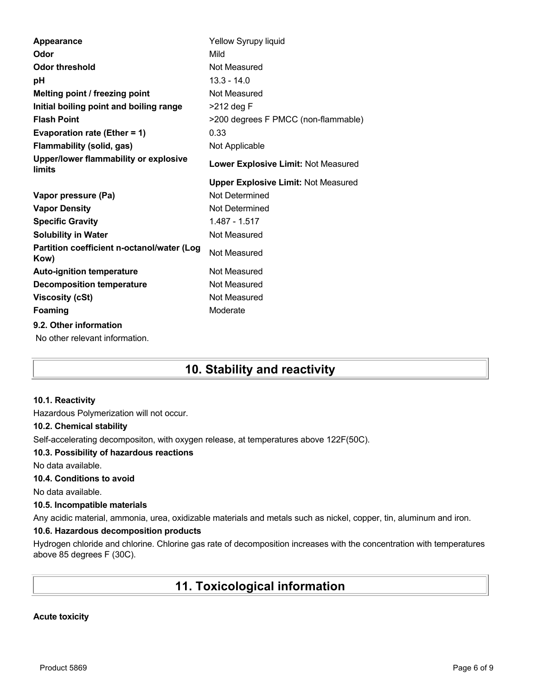| Appearance                                         | Yellow Syrupy liquid                       |
|----------------------------------------------------|--------------------------------------------|
| Odor                                               | Mild                                       |
| <b>Odor threshold</b>                              | Not Measured                               |
| рH                                                 | $13.3 - 14.0$                              |
| Melting point / freezing point                     | Not Measured                               |
| Initial boiling point and boiling range            | >212 deg F                                 |
| <b>Flash Point</b>                                 | >200 degrees F PMCC (non-flammable)        |
| Evaporation rate (Ether = 1)                       | 0.33                                       |
| <b>Flammability (solid, gas)</b>                   | Not Applicable                             |
| Upper/lower flammability or explosive<br>limits    | Lower Explosive Limit: Not Measured        |
|                                                    | <b>Upper Explosive Limit: Not Measured</b> |
|                                                    |                                            |
| Vapor pressure (Pa)                                | Not Determined                             |
| <b>Vapor Density</b>                               | Not Determined                             |
| <b>Specific Gravity</b>                            | 1.487 - 1.517                              |
| <b>Solubility in Water</b>                         | Not Measured                               |
| Partition coefficient n-octanol/water (Log<br>Kow) | Not Measured                               |
| <b>Auto-ignition temperature</b>                   | Not Measured                               |
| <b>Decomposition temperature</b>                   | Not Measured                               |
| <b>Viscosity (cSt)</b>                             | Not Measured                               |
| Foaming                                            | Moderate                                   |
| 9.2. Other information                             |                                            |

# **10. Stability and reactivity**

## **10.1. Reactivity**

Hazardous Polymerization will not occur.

#### **10.2. Chemical stability**

Self-accelerating decompositon, with oxygen release, at temperatures above 122F(50C).

#### **10.3. Possibility of hazardous reactions**

No data available.

## **10.4. Conditions to avoid**

No data available.

#### **10.5. Incompatible materials**

Any acidic material, ammonia, urea, oxidizable materials and metals such as nickel, copper, tin, aluminum and iron.

## **10.6. Hazardous decomposition products**

Hydrogen chloride and chlorine. Chlorine gas rate of decomposition increases with the concentration with temperatures above 85 degrees F (30C).

# **11. Toxicological information**

## **Acute toxicity**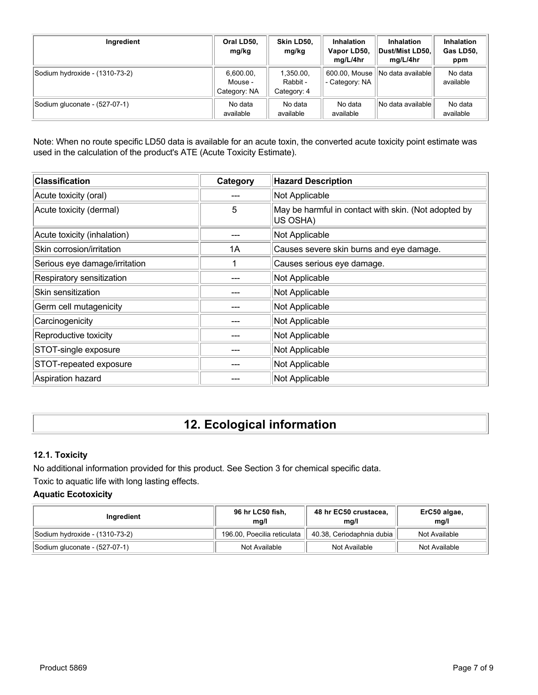| Ingredient                     | Oral LD50,<br>mg/kg                  | Skin LD50,<br>mg/kg                  | <b>Inhalation</b><br>Vapor LD50,<br>mg/L/4hr | <b>Inhalation</b><br>⊺Dust/Mist LD50<br>mg/L/4hr | <b>Inhalation</b><br>Gas LD50,<br>ppm |
|--------------------------------|--------------------------------------|--------------------------------------|----------------------------------------------|--------------------------------------------------|---------------------------------------|
| Sodium hydroxide - (1310-73-2) | 6,600.00,<br>Mouse -<br>Category: NA | 1,350.00,<br>Rabbit -<br>Category: 4 | 600.00, Mouse<br>- Category: NA              | INo data availablel                              | No data<br>available                  |
| Sodium gluconate - (527-07-1)  | No data<br>available                 | No data<br>available                 | No data<br>available                         | No data availablel                               | No data<br>available                  |

Note: When no route specific LD50 data is available for an acute toxin, the converted acute toxicity point estimate was used in the calculation of the product's ATE (Acute Toxicity Estimate).

| <b>Classification</b>         | Category | <b>Hazard Description</b>                                        |
|-------------------------------|----------|------------------------------------------------------------------|
| Acute toxicity (oral)         |          | Not Applicable                                                   |
| Acute toxicity (dermal)       | 5        | May be harmful in contact with skin. (Not adopted by<br>US OSHA) |
| Acute toxicity (inhalation)   |          | Not Applicable                                                   |
| Skin corrosion/irritation     | 1A       | Causes severe skin burns and eye damage.                         |
| Serious eye damage/irritation |          | Causes serious eye damage.                                       |
| Respiratory sensitization     |          | Not Applicable                                                   |
| Skin sensitization            |          | Not Applicable                                                   |
| Germ cell mutagenicity        |          | Not Applicable                                                   |
| Carcinogenicity               |          | Not Applicable                                                   |
| Reproductive toxicity         |          | Not Applicable                                                   |
| STOT-single exposure          |          | Not Applicable                                                   |
| STOT-repeated exposure        |          | Not Applicable                                                   |
| Aspiration hazard             |          | Not Applicable                                                   |

# **12. Ecological information**

## **12.1. Toxicity**

No additional information provided for this product. See Section 3 for chemical specific data. Toxic to aquatic life with long lasting effects.

## **Aquatic Ecotoxicity**

| Ingredient                     | 96 hr LC50 fish,<br>mg/l    | 48 hr EC50 crustacea,<br>mq/l | ErC50 algae,<br>mq/l |
|--------------------------------|-----------------------------|-------------------------------|----------------------|
| Sodium hydroxide - (1310-73-2) | 196.00, Poecilia reticulata | 40.38, Ceriodaphnia dubia     | Not Available        |
| Sodium gluconate - (527-07-1)  | Not Available               | Not Available                 | Not Available        |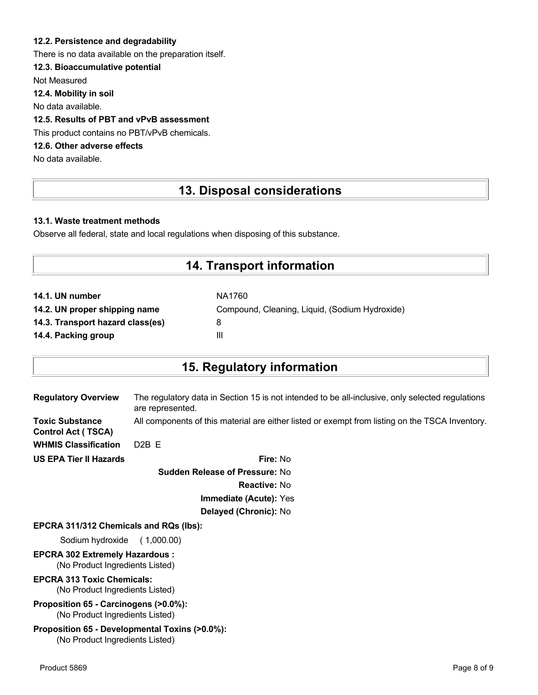### **12.2. Persistence and degradability**

There is no data available on the preparation itself.

## **12.3. Bioaccumulative potential**

Not Measured

**12.4. Mobility in soil**

No data available.

## **12.5. Results of PBT and vPvB assessment**

This product contains no PBT/vPvB chemicals.

## **12.6. Other adverse effects**

No data available.

# **13. Disposal considerations**

### **13.1. Waste treatment methods**

Observe all federal, state and local regulations when disposing of this substance.

# **14. Transport information**

| NA1760                                         |
|------------------------------------------------|
| Compound, Cleaning, Liquid, (Sodium Hydroxide) |
| 8                                              |
| Ш                                              |
|                                                |

# **15. Regulatory information**

| <b>Regulatory Overview</b>                   | The regulatory data in Section 15 is not intended to be all-inclusive, only selected regulations<br>are represented. |
|----------------------------------------------|----------------------------------------------------------------------------------------------------------------------|
| Toxic Substance<br><b>Control Act (TSCA)</b> | All components of this material are either listed or exempt from listing on the TSCA Inventory.                      |
| <b>WHMIS Classification</b>                  | $D2B$ F                                                                                                              |
| <b>US EPA Tier II Hazards</b>                | Fire: No                                                                                                             |
|                                              | <b>Sudden Release of Pressure: No</b>                                                                                |

**Reactive:** No **Immediate (Acute):** Yes

# **Delayed (Chronic):** No

#### **EPCRA 311/312 Chemicals and RQs (lbs):**

Sodium hydroxide ( 1,000.00)

#### **EPCRA 302 Extremely Hazardous :** (No Product Ingredients Listed)

**EPCRA 313 Toxic Chemicals:**

# (No Product Ingredients Listed)

**Proposition 65 - Carcinogens (>0.0%):** (No Product Ingredients Listed)

#### **Proposition 65 - Developmental Toxins (>0.0%):** (No Product Ingredients Listed)